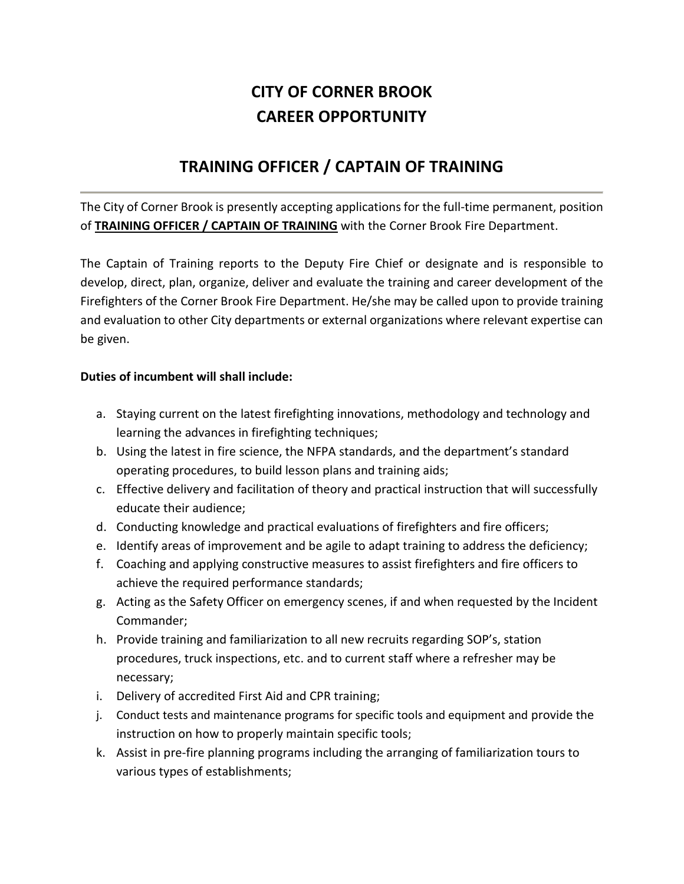## **CITY OF CORNER BROOK CAREER OPPORTUNITY**

## **TRAINING OFFICER / CAPTAIN OF TRAINING**

The City of Corner Brook is presently accepting applications for the full-time permanent, position of **TRAINING OFFICER / CAPTAIN OF TRAINING** with the Corner Brook Fire Department.

The Captain of Training reports to the Deputy Fire Chief or designate and is responsible to develop, direct, plan, organize, deliver and evaluate the training and career development of the Firefighters of the Corner Brook Fire Department. He/she may be called upon to provide training and evaluation to other City departments or external organizations where relevant expertise can be given.

## **Duties of incumbent will shall include:**

- a. Staying current on the latest firefighting innovations, methodology and technology and learning the advances in firefighting techniques;
- b. Using the latest in fire science, the NFPA standards, and the department's standard operating procedures, to build lesson plans and training aids;
- c. Effective delivery and facilitation of theory and practical instruction that will successfully educate their audience;
- d. Conducting knowledge and practical evaluations of firefighters and fire officers;
- e. Identify areas of improvement and be agile to adapt training to address the deficiency;
- f. Coaching and applying constructive measures to assist firefighters and fire officers to achieve the required performance standards;
- g. Acting as the Safety Officer on emergency scenes, if and when requested by the Incident Commander;
- h. Provide training and familiarization to all new recruits regarding SOP's, station procedures, truck inspections, etc. and to current staff where a refresher may be necessary;
- i. Delivery of accredited First Aid and CPR training;
- j. Conduct tests and maintenance programs for specific tools and equipment and provide the instruction on how to properly maintain specific tools;
- k. Assist in pre-fire planning programs including the arranging of familiarization tours to various types of establishments;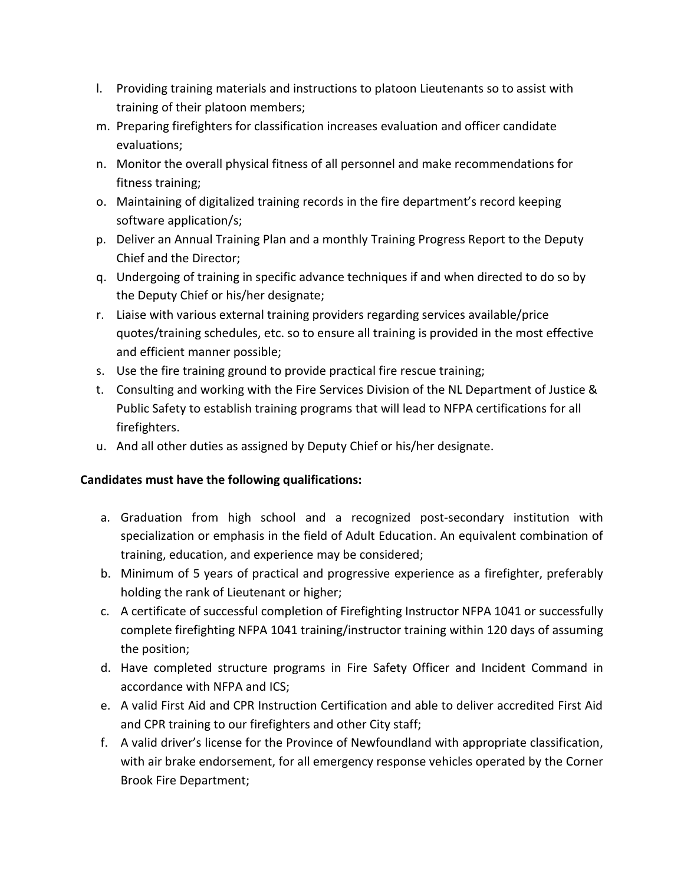- l. Providing training materials and instructions to platoon Lieutenants so to assist with training of their platoon members;
- m. Preparing firefighters for classification increases evaluation and officer candidate evaluations;
- n. Monitor the overall physical fitness of all personnel and make recommendations for fitness training;
- o. Maintaining of digitalized training records in the fire department's record keeping software application/s;
- p. Deliver an Annual Training Plan and a monthly Training Progress Report to the Deputy Chief and the Director;
- q. Undergoing of training in specific advance techniques if and when directed to do so by the Deputy Chief or his/her designate;
- r. Liaise with various external training providers regarding services available/price quotes/training schedules, etc. so to ensure all training is provided in the most effective and efficient manner possible;
- s. Use the fire training ground to provide practical fire rescue training;
- t. Consulting and working with the Fire Services Division of the NL Department of Justice & Public Safety to establish training programs that will lead to NFPA certifications for all firefighters.
- u. And all other duties as assigned by Deputy Chief or his/her designate.

## **Candidates must have the following qualifications:**

- a. Graduation from high school and a recognized post-secondary institution with specialization or emphasis in the field of Adult Education. An equivalent combination of training, education, and experience may be considered;
- b. Minimum of 5 years of practical and progressive experience as a firefighter, preferably holding the rank of Lieutenant or higher;
- c. A certificate of successful completion of Firefighting Instructor NFPA 1041 or successfully complete firefighting NFPA 1041 training/instructor training within 120 days of assuming the position;
- d. Have completed structure programs in Fire Safety Officer and Incident Command in accordance with NFPA and ICS;
- e. A valid First Aid and CPR Instruction Certification and able to deliver accredited First Aid and CPR training to our firefighters and other City staff;
- f. A valid driver's license for the Province of Newfoundland with appropriate classification, with air brake endorsement, for all emergency response vehicles operated by the Corner Brook Fire Department;